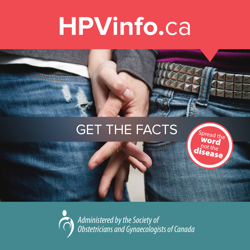## **HPVinfo.**ca



### **GET THE FACTS**

Spread the Word  $\overline{\mathsf{disc}}^{\mathsf{pot}\, \mathsf{the}}_{\mathsf{base}}$ 

*Administered by the Society of Obstetricians and Gynaecologists of Canada*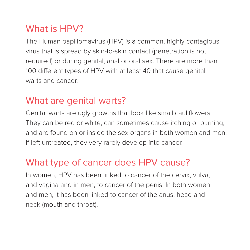#### What is HPV?

The Human papillomavirus (HPV) is a common, highly contagious virus that is spread by skin-to-skin contact (penetration is not required) or during genital, anal or oral sex. There are more than 100 different types of HPV with at least 40 that cause genital warts and cancer.

#### What are genital warts?

Genital warts are ugly growths that look like small cauliflowers. They can be red or white, can sometimes cause itching or burning, and are found on or inside the sex organs in both women and men. If left untreated, they very rarely develop into cancer.

#### What type of cancer does HPV cause?

In women, HPV has been linked to cancer of the cervix, vulva, and vagina and in men, to cancer of the penis. In both women and men, it has been linked to cancer of the anus, head and neck (mouth and throat).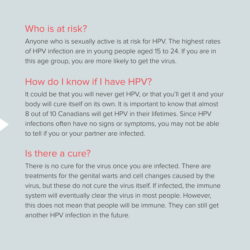#### Who is at risk?

Anyone who is sexually active is at risk for HPV. The highest rates of HPV infection are in young people aged 15 to 24. If you are in this age group, you are more likely to get the virus.

#### How do I know if I have HPV?

It could be that you will never get HPV, or that you'll get it and your body will cure itself on its own. It is important to know that almost 8 out of 10 Canadians will get HPV in their lifetimes. Since HPV infections often have no signs or symptoms, you may not be able to tell if you or your partner are infected.

#### Is there a cure?

There is no cure for the virus once you are infected. There are treatments for the genital warts and cell changes caused by the virus, but these do not cure the virus itself. If infected, the immune system will eventually clear the virus in most people. However, this does not mean that people will be immune. They can still get another HPV infection in the future.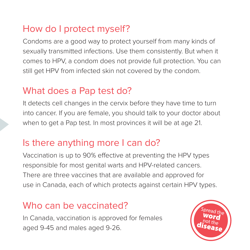#### How do I protect myself?

Condoms are a good way to protect yourself from many kinds of sexually transmitted infections. Use them consistently. But when it comes to HPV, a condom does not provide full protection. You can still get HPV from infected skin not covered by the condom.

#### What does a Pap test do?

It detects cell changes in the cervix before they have time to turn into cancer. If you are female, you should talk to your doctor about when to get a Pap test. In most provinces it will be at age 21.

#### Is there anything more I can do?

Vaccination is up to 90% effective at preventing the HPV types responsible for most genital warts and HPV-related cancers. There are three vaccines that are available and approved for use in Canada, each of which protects against certain HPV types.

#### Who can be vaccinated?

In Canada, vaccination is approved for females aged 9-45 and males aged 9-26.